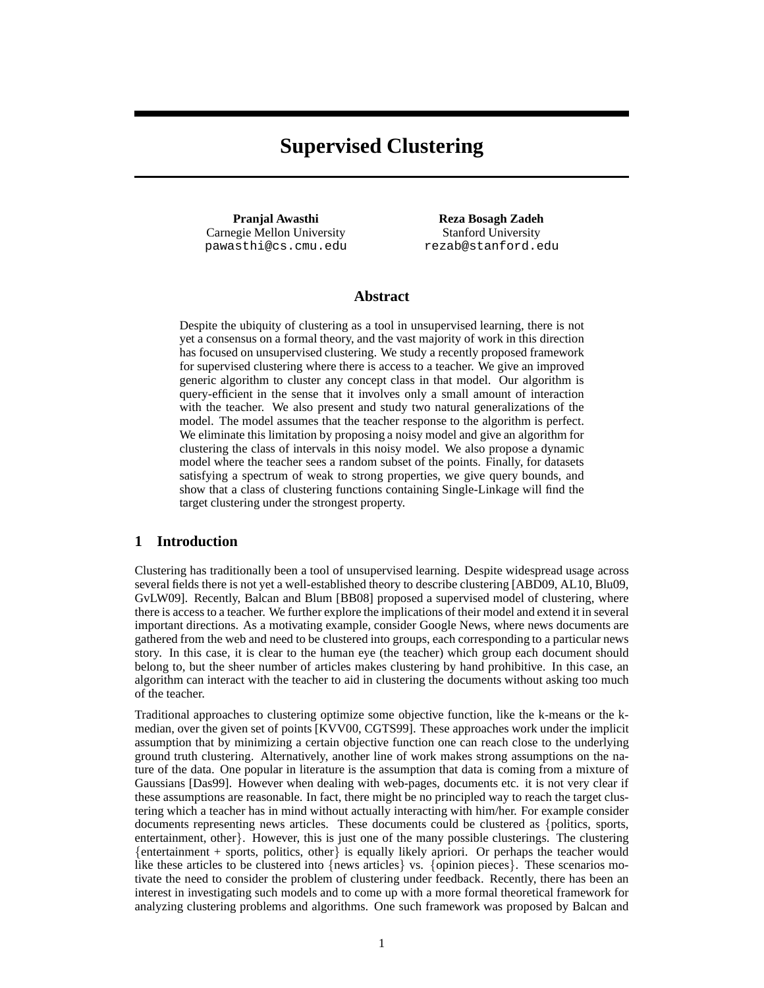# **Supervised Clustering**

**Pranjal Awasthi** Carnegie Mellon University pawasthi@cs.cmu.edu

**Reza Bosagh Zadeh** Stanford University rezab@stanford.edu

# **Abstract**

Despite the ubiquity of clustering as a tool in unsupervised learning, there is not yet a consensus on a formal theory, and the vast majority of work in this direction has focused on unsupervised clustering. We study a recently proposed framework for supervised clustering where there is access to a teacher. We give an improved generic algorithm to cluster any concept class in that model. Our algorithm is query-efficient in the sense that it involves only a small amount of interaction with the teacher. We also present and study two natural generalizations of the model. The model assumes that the teacher response to the algorithm is perfect. We eliminate this limitation by proposing a noisy model and give an algorithm for clustering the class of intervals in this noisy model. We also propose a dynamic model where the teacher sees a random subset of the points. Finally, for datasets satisfying a spectrum of weak to strong properties, we give query bounds, and show that a class of clustering functions containing Single-Linkage will find the target clustering under the strongest property.

# **1 Introduction**

Clustering has traditionally been a tool of unsupervised learning. Despite widespread usage across several fields there is not yet a well-established theory to describe clustering [ABD09, AL10, Blu09, GvLW09]. Recently, Balcan and Blum [BB08] proposed a supervised model of clustering, where there is access to a teacher. We further explore the implications of their model and extend it in several important directions. As a motivating example, consider Google News, where news documents are gathered from the web and need to be clustered into groups, each corresponding to a particular news story. In this case, it is clear to the human eye (the teacher) which group each document should belong to, but the sheer number of articles makes clustering by hand prohibitive. In this case, an algorithm can interact with the teacher to aid in clustering the documents without asking too much of the teacher.

Traditional approaches to clustering optimize some objective function, like the k-means or the kmedian, over the given set of points [KVV00, CGTS99]. These approaches work under the implicit assumption that by minimizing a certain objective function one can reach close to the underlying ground truth clustering. Alternatively, another line of work makes strong assumptions on the nature of the data. One popular in literature is the assumption that data is coming from a mixture of Gaussians [Das99]. However when dealing with web-pages, documents etc. it is not very clear if these assumptions are reasonable. In fact, there might be no principled way to reach the target clustering which a teacher has in mind without actually interacting with him/her. For example consider documents representing news articles. These documents could be clustered as {politics, sports, entertainment, other}. However, this is just one of the many possible clusterings. The clustering  ${entriument + sports, politics, other} is equally likely a priori. Or perhaps the teacher would$ like these articles to be clustered into {news articles} vs. {opinion pieces}. These scenarios motivate the need to consider the problem of clustering under feedback. Recently, there has been an interest in investigating such models and to come up with a more formal theoretical framework for analyzing clustering problems and algorithms. One such framework was proposed by Balcan and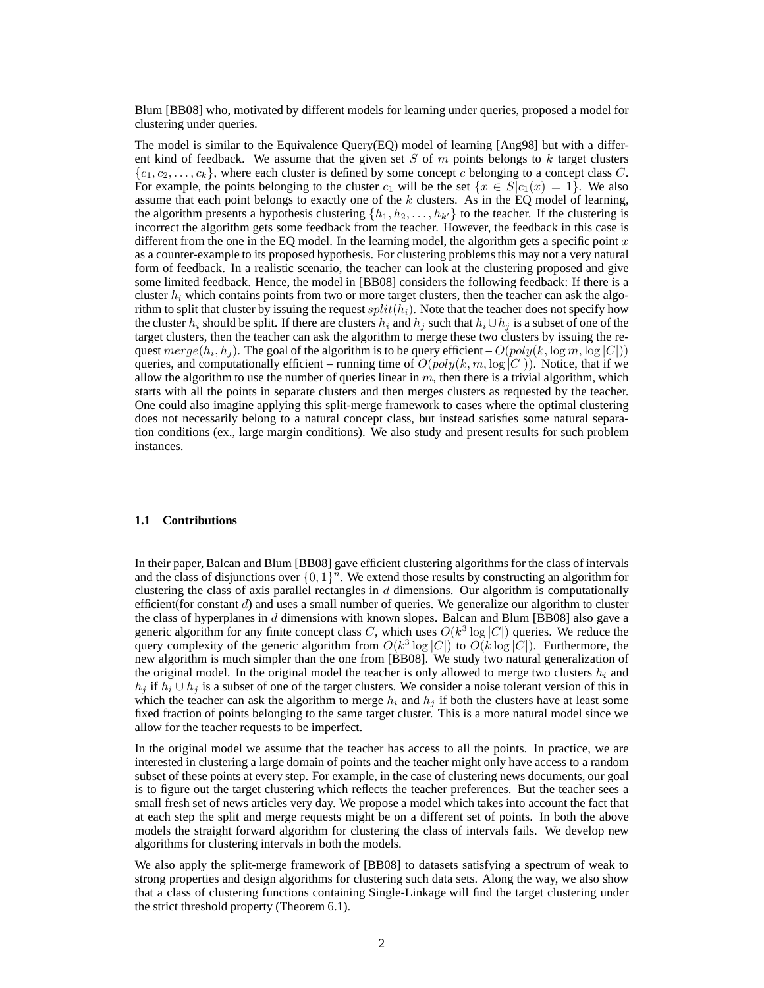Blum [BB08] who, motivated by different models for learning under queries, proposed a model for clustering under queries.

The model is similar to the Equivalence Query(EQ) model of learning  $[Ang 98]$  but with a different kind of feedback. We assume that the given set S of  $m$  points belongs to  $k$  target clusters  ${c_1, c_2, \ldots, c_k}$ , where each cluster is defined by some concept c belonging to a concept class C. For example, the points belonging to the cluster  $c_1$  will be the set  $\{x \in S | c_1(x) = 1\}$ . We also assume that each point belongs to exactly one of the  $k$  clusters. As in the EQ model of learning, the algorithm presents a hypothesis clustering  $\{h_1, h_2, \ldots, h_{k'}\}$  to the teacher. If the clustering is incorrect the algorithm gets some feedback from the teacher. However, the feedback in this case is different from the one in the EQ model. In the learning model, the algorithm gets a specific point  $x$ as a counter-example to its proposed hypothesis. For clustering problems this may not a very natural form of feedback. In a realistic scenario, the teacher can look at the clustering proposed and give some limited feedback. Hence, the model in [BB08] considers the following feedback: If there is a cluster  $h_i$  which contains points from two or more target clusters, then the teacher can ask the algorithm to split that cluster by issuing the request  $split(h_i)$ . Note that the teacher does not specify how the cluster  $h_i$  should be split. If there are clusters  $h_i$  and  $h_j$  such that  $h_i \cup h_j$  is a subset of one of the target clusters, then the teacher can ask the algorithm to merge these two clusters by issuing the request  $merge(h_i, h_j)$ . The goal of the algorithm is to be query efficient  $- O(poly(k, \log m, \log |C|))$ queries, and computationally efficient – running time of  $O(poly(k, m, \log |C|))$ . Notice, that if we allow the algorithm to use the number of queries linear in  $m$ , then there is a trivial algorithm, which starts with all the points in separate clusters and then merges clusters as requested by the teacher. One could also imagine applying this split-merge framework to cases where the optimal clustering does not necessarily belong to a natural concept class, but instead satisfies some natural separation conditions (ex., large margin conditions). We also study and present results for such problem instances.

### **1.1 Contributions**

In their paper, Balcan and Blum [BB08] gave efficient clustering algorithms for the class of intervals and the class of disjunctions over  $\{0, 1\}^n$ . We extend those results by constructing an algorithm for clustering the class of axis parallel rectangles in  $d$  dimensions. Our algorithm is computationally efficient(for constant  $d$ ) and uses a small number of queries. We generalize our algorithm to cluster the class of hyperplanes in  $d$  dimensions with known slopes. Balcan and Blum [BB08] also gave a generic algorithm for any finite concept class C, which uses  $O(k^3 \log |C|)$  queries. We reduce the query complexity of the generic algorithm from  $O(k^3 \log |C|)$  to  $O(k \log |C|)$ . Furthermore, the new algorithm is much simpler than the one from [BB08]. We study two natural generalization of the original model. In the original model the teacher is only allowed to merge two clusters  $h_i$  and  $h_i$  if  $h_i \cup h_j$  is a subset of one of the target clusters. We consider a noise tolerant version of this in which the teacher can ask the algorithm to merge  $h_i$  and  $h_j$  if both the clusters have at least some fixed fraction of points belonging to the same target cluster. This is a more natural model since we allow for the teacher requests to be imperfect.

In the original model we assume that the teacher has access to all the points. In practice, we are interested in clustering a large domain of points and the teacher might only have access to a random subset of these points at every step. For example, in the case of clustering news documents, our goal is to figure out the target clustering which reflects the teacher preferences. But the teacher sees a small fresh set of news articles very day. We propose a model which takes into account the fact that at each step the split and merge requests might be on a different set of points. In both the above models the straight forward algorithm for clustering the class of intervals fails. We develop new algorithms for clustering intervals in both the models.

We also apply the split-merge framework of [BB08] to datasets satisfying a spectrum of weak to strong properties and design algorithms for clustering such data sets. Along the way, we also show that a class of clustering functions containing Single-Linkage will find the target clustering under the strict threshold property (Theorem 6.1).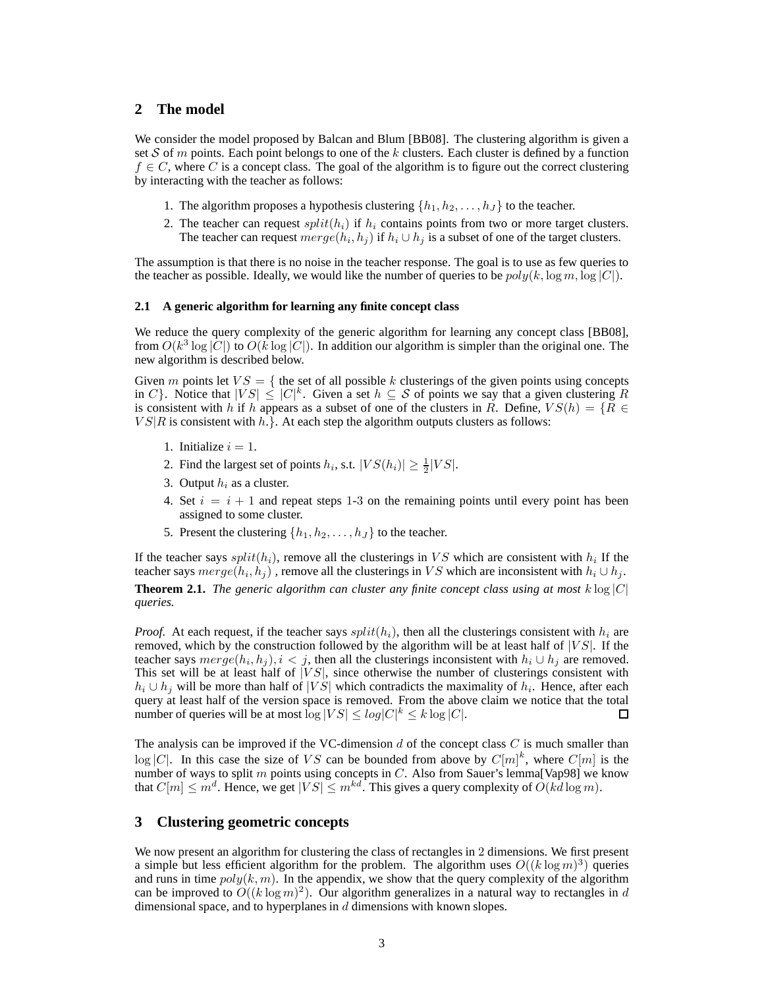## **2 The model**

We consider the model proposed by Balcan and Blum [BB08]. The clustering algorithm is given a set S of m points. Each point belongs to one of the k clusters. Each cluster is defined by a function  $f \in C$ , where C is a concept class. The goal of the algorithm is to figure out the correct clustering by interacting with the teacher as follows:

- 1. The algorithm proposes a hypothesis clustering  $\{h_1, h_2, \ldots, h_J\}$  to the teacher.
- 2. The teacher can request  $split(h_i)$  if  $h_i$  contains points from two or more target clusters. The teacher can request  $merge(h_i, h_j)$  if  $h_i \cup h_j$  is a subset of one of the target clusters.

The assumption is that there is no noise in the teacher response. The goal is to use as few queries to the teacher as possible. Ideally, we would like the number of queries to be  $poly(k, \log m, \log |C|)$ .

#### **2.1 A generic algorithm for learning any finite concept class**

We reduce the query complexity of the generic algorithm for learning any concept class [BB08], from  $O(k^3 \log |C|)$  to  $O(k \log |C|)$ . In addition our algorithm is simpler than the original one. The new algorithm is described below.

Given m points let  $VS = \{$  the set of all possible k clusterings of the given points using concepts in C}. Notice that  $|VS| \leq |C|^k$ . Given a set  $h \subseteq S$  of points we say that a given clustering R is consistent with h if h appears as a subset of one of the clusters in R. Define,  $VS(h) = \{R \in$  $VS|R$  is consistent with  $h.$ }. At each step the algorithm outputs clusters as follows:

- 1. Initialize  $i = 1$ .
- 2. Find the largest set of points  $h_i$ , s.t.  $|VS(h_i)| \geq \frac{1}{2}|VS|$ .
- 3. Output  $h_i$  as a cluster.
- 4. Set  $i = i + 1$  and repeat steps 1-3 on the remaining points until every point has been assigned to some cluster.
- 5. Present the clustering  $\{h_1, h_2, \ldots, h_J\}$  to the teacher.

If the teacher says  $split(h_i)$ , remove all the clusterings in VS which are consistent with  $h_i$  If the teacher says  $merge(h_i, h_j)$ , remove all the clusterings in VS which are inconsistent with  $h_i \cup h_j$ . **Theorem 2.1.** *The generic algorithm can cluster any finite concept class using at most*  $k \log |C|$ 

*queries.*

*Proof.* At each request, if the teacher says  $split(h_i)$ , then all the clusterings consistent with  $h_i$  are removed, which by the construction followed by the algorithm will be at least half of  $|VS|$ . If the teacher says  $merge(h_i, h_j), i < j$ , then all the clusterings inconsistent with  $h_i \cup h_j$  are removed. This set will be at least half of  $|VS|$ , since otherwise the number of clusterings consistent with  $h_i \cup h_j$  will be more than half of |VS| which contradicts the maximality of  $h_i$ . Hence, after each query at least half of the version space is removed. From the above claim we notice that the total number of queries will be at most  $\log |VS| \leq log|C|^k \leq k \log|C|$ .  $\square$ 

The analysis can be improved if the VC-dimension  $d$  of the concept class  $C$  is much smaller than  $\log |C|$ . In this case the size of VS can be bounded from above by  $C[m]^k$ , where  $C[m]$  is the number of ways to split m points using concepts in C. Also from Sauer's lemma[Vap98] we know that  $C[m] \leq m^d$ . Hence, we get  $|VS| \leq m^{kd}$ . This gives a query complexity of  $O(kd \log m)$ .

# **3 Clustering geometric concepts**

We now present an algorithm for clustering the class of rectangles in 2 dimensions. We first present a simple but less efficient algorithm for the problem. The algorithm uses  $O((k \log m)^3)$  queries and runs in time  $poly(k, m)$ . In the appendix, we show that the query complexity of the algorithm can be improved to  $O((k \log m)^2)$ . Our algorithm generalizes in a natural way to rectangles in d dimensional space, and to hyperplanes in  $d$  dimensions with known slopes.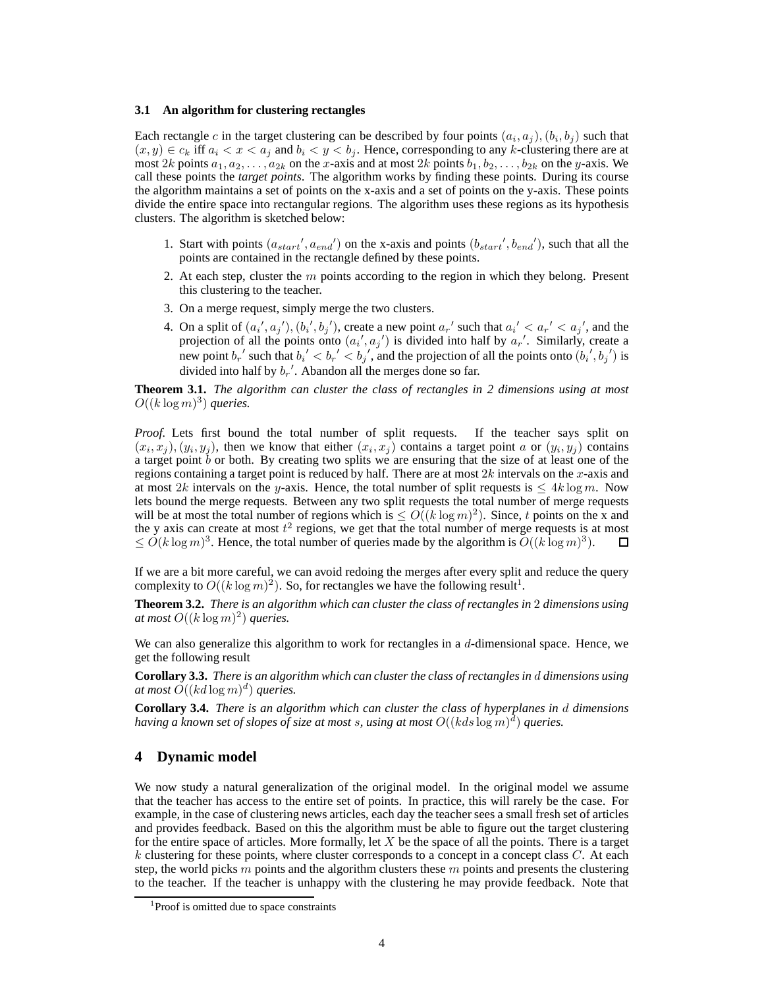## **3.1 An algorithm for clustering rectangles**

Each rectangle c in the target clustering can be described by four points  $(a_i, a_j)$ ,  $(b_i, b_j)$  such that  $(x, y) \in c_k$  iff  $a_i < x < a_j$  and  $b_i < y < b_j$ . Hence, corresponding to any k-clustering there are at most 2k points  $a_1, a_2, \ldots, a_{2k}$  on the x-axis and at most 2k points  $b_1, b_2, \ldots, b_{2k}$  on the y-axis. We call these points the *target points*. The algorithm works by finding these points. During its course the algorithm maintains a set of points on the x-axis and a set of points on the y-axis. These points divide the entire space into rectangular regions. The algorithm uses these regions as its hypothesis clusters. The algorithm is sketched below:

- 1. Start with points  $(a_{start}', a_{end}')$  on the x-axis and points  $(b_{start}', b_{end}')$ , such that all the points are contained in the rectangle defined by these points.
- 2. At each step, cluster the  $m$  points according to the region in which they belong. Present this clustering to the teacher.
- 3. On a merge request, simply merge the two clusters.
- 4. On a split of  $(a_i', a_j'), (b_i', b_j')$ , create a new point  $a_r'$  such that  $a_i' < a_r' < a_j'$ , and the projection of all the points onto  $(a_i', a_j')$  is divided into half by  $a_r'$ . Similarly, create a new point  $b_r'$  such that  $b_i' < b_r' < b_j'$ , and the projection of all the points onto  $(b_i', b_j')$  is divided into half by  $b_r'$ . Abandon all the merges done so far.

**Theorem 3.1.** *The algorithm can cluster the class of rectangles in 2 dimensions using at most*  $O((k \log m)^3)$  queries.

*Proof.* Lets first bound the total number of split requests. If the teacher says split on  $(x_i, x_j), (y_i, y_j)$ , then we know that either  $(x_i, x_j)$  contains a target point a or  $(y_i, y_j)$  contains a target point  $\bar{b}$  or both. By creating two splits we are ensuring that the size of at least one of the regions containing a target point is reduced by half. There are at most  $2k$  intervals on the x-axis and at most 2k intervals on the y-axis. Hence, the total number of split requests is  $\leq 4k \log m$ . Now lets bound the merge requests. Between any two split requests the total number of merge requests will be at most the total number of regions which is  $\leq O((k \log m)^2)$ . Since, t points on the x and the y axis can create at most  $t^2$  regions, we get that the total number of merge requests is at most  $\leq O(k \log m)^3$ . Hence, the total number of queries made by the algorithm is  $O((k \log m)^3)$ . П

If we are a bit more careful, we can avoid redoing the merges after every split and reduce the query complexity to  $O((k \log m)^2)$ . So, for rectangles we have the following result<sup>1</sup>.

**Theorem 3.2.** *There is an algorithm which can cluster the class of rectangles in* 2 *dimensions using* at most  $O((k \log m)^2)$  queries.

We can also generalize this algorithm to work for rectangles in a  $d$ -dimensional space. Hence, we get the following result

**Corollary 3.3.** *There is an algorithm which can cluster the class of rectangles in* d *dimensions using* at most  $O((kd \log m)^d)$  queries.

**Corollary 3.4.** *There is an algorithm which can cluster the class of hyperplanes in* d *dimensions* having a known set of slopes of size at most s, using at most  $O((kds \log m)^d)$  queries.

## **4 Dynamic model**

We now study a natural generalization of the original model. In the original model we assume that the teacher has access to the entire set of points. In practice, this will rarely be the case. For example, in the case of clustering news articles, each day the teacher sees a small fresh set of articles and provides feedback. Based on this the algorithm must be able to figure out the target clustering for the entire space of articles. More formally, let  $X$  be the space of all the points. There is a target k clustering for these points, where cluster corresponds to a concept in a concept class  $C$ . At each step, the world picks  $m$  points and the algorithm clusters these  $m$  points and presents the clustering to the teacher. If the teacher is unhappy with the clustering he may provide feedback. Note that

<sup>&</sup>lt;sup>1</sup>Proof is omitted due to space constraints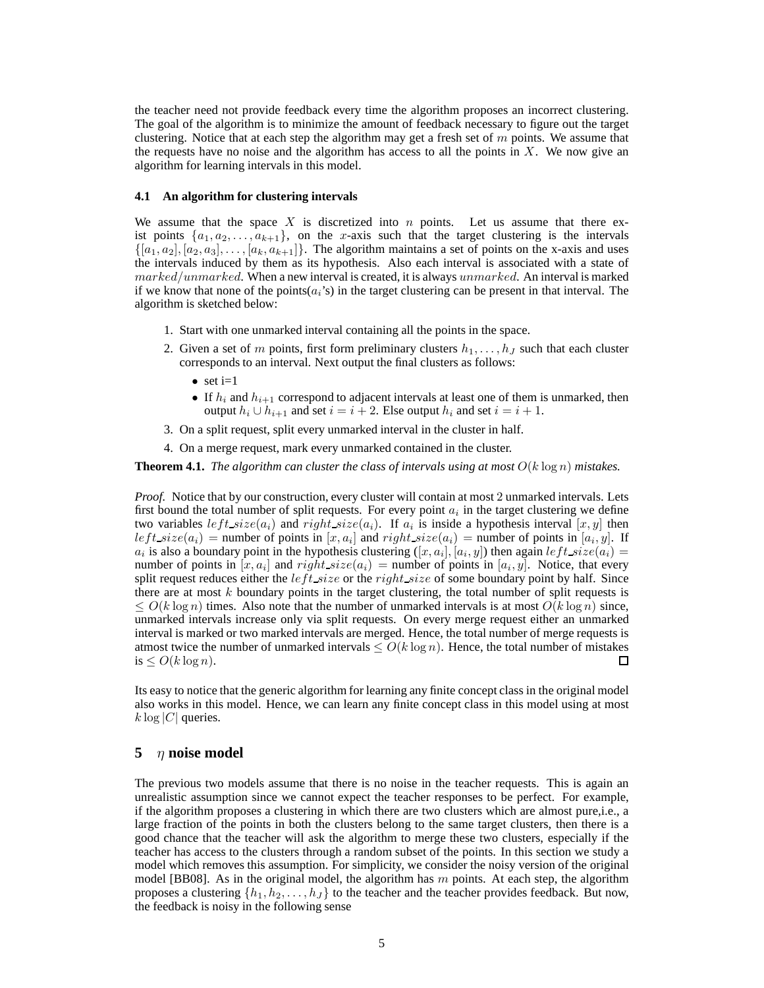the teacher need not provide feedback every time the algorithm proposes an incorrect clustering. The goal of the algorithm is to minimize the amount of feedback necessary to figure out the target clustering. Notice that at each step the algorithm may get a fresh set of  $m$  points. We assume that the requests have no noise and the algorithm has access to all the points in  $X$ . We now give an algorithm for learning intervals in this model.

#### **4.1 An algorithm for clustering intervals**

We assume that the space X is discretized into  $n$  points. Let us assume that there exist points  $\{a_1, a_2, \ldots, a_{k+1}\}\$ , on the x-axis such that the target clustering is the intervals  $\{[a_1, a_2], [a_2, a_3], \ldots, [a_k, a_{k+1}]\}.$  The algorithm maintains a set of points on the x-axis and uses the intervals induced by them as its hypothesis. Also each interval is associated with a state of marked/unmarked. When a new interval is created, it is always unmarked. An interval is marked if we know that none of the points $(a_i)$  in the target clustering can be present in that interval. The algorithm is sketched below:

- 1. Start with one unmarked interval containing all the points in the space.
- 2. Given a set of m points, first form preliminary clusters  $h_1, \ldots, h_J$  such that each cluster corresponds to an interval. Next output the final clusters as follows:
	- set  $i=1$
	- If  $h_i$  and  $h_{i+1}$  correspond to adjacent intervals at least one of them is unmarked, then output  $h_i \cup h_{i+1}$  and set  $i = i + 2$ . Else output  $h_i$  and set  $i = i + 1$ .
- 3. On a split request, split every unmarked interval in the cluster in half.
- 4. On a merge request, mark every unmarked contained in the cluster.

**Theorem 4.1.** *The algorithm can cluster the class of intervals using at most*  $O(k \log n)$  *mistakes.* 

*Proof.* Notice that by our construction, every cluster will contain at most 2 unmarked intervals. Lets first bound the total number of split requests. For every point  $a_i$  in the target clustering we define two variables  $left.size(a_i)$  and  $right.size(a_i)$ . If  $a_i$  is inside a hypothesis interval  $[x, y]$  then  $left.size(a_i)$  = number of points in  $[x, a_i]$  and  $right.size(a_i)$  = number of points in  $[a_i, y]$ . If  $a_i$  is also a boundary point in the hypothesis clustering  $([x, a_i], [a_i, y])$  then again  $left$  size $(a_i)$  = number of points in  $[x, a_i]$  and  $right\_size(a_i)$  = number of points in  $[a_i, y]$ . Notice, that every split request reduces either the  $left\_size$  or the right  $_size$  of some boundary point by half. Since there are at most  $k$  boundary points in the target clustering, the total number of split requests is  $\leq O(k \log n)$  times. Also note that the number of unmarked intervals is at most  $O(k \log n)$  since, unmarked intervals increase only via split requests. On every merge request either an unmarked interval is marked or two marked intervals are merged. Hence, the total number of merge requests is atmost twice the number of unmarked intervals  $\leq O(k \log n)$ . Hence, the total number of mistakes is  $\leq O(k \log n)$ . □ is  $\leq O(k \log n)$ .

Its easy to notice that the generic algorithm for learning any finite concept class in the original model also works in this model. Hence, we can learn any finite concept class in this model using at most  $k \log |C|$  queries.

## **5** η **noise model**

The previous two models assume that there is no noise in the teacher requests. This is again an unrealistic assumption since we cannot expect the teacher responses to be perfect. For example, if the algorithm proposes a clustering in which there are two clusters which are almost pure,i.e., a large fraction of the points in both the clusters belong to the same target clusters, then there is a good chance that the teacher will ask the algorithm to merge these two clusters, especially if the teacher has access to the clusters through a random subset of the points. In this section we study a model which removes this assumption. For simplicity, we consider the noisy version of the original model [BB08]. As in the original model, the algorithm has  $m$  points. At each step, the algorithm proposes a clustering  $\{h_1, h_2, \ldots, h_J\}$  to the teacher and the teacher provides feedback. But now, the feedback is noisy in the following sense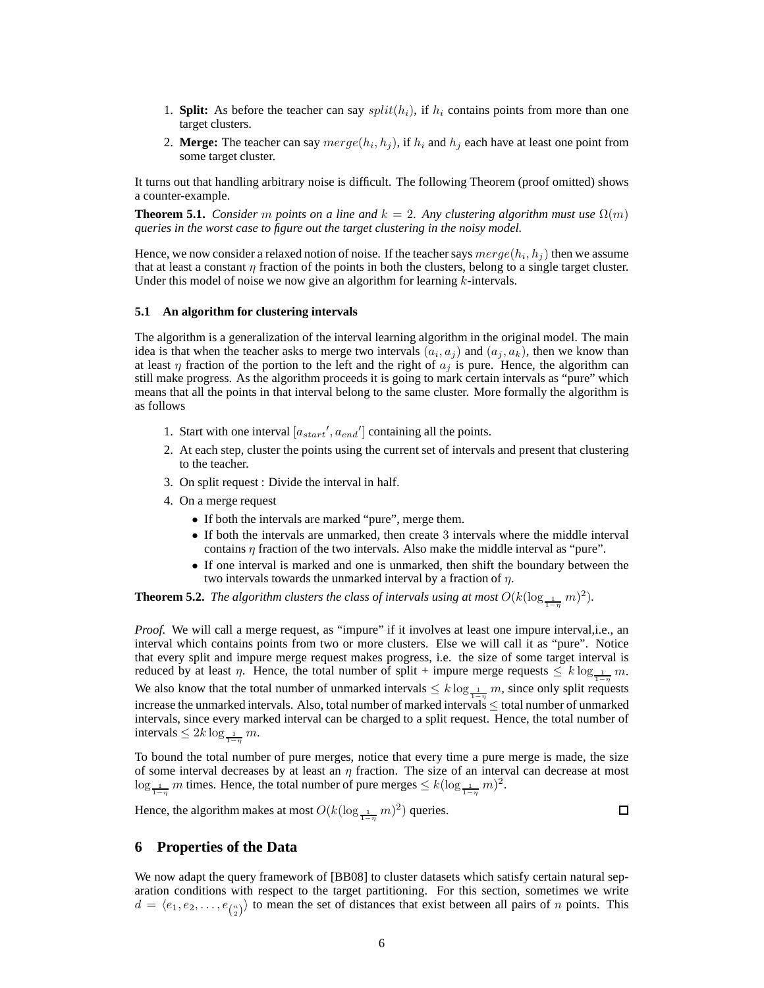- 1. **Split:** As before the teacher can say  $split(h_i)$ , if  $h_i$  contains points from more than one target clusters.
- 2. **Merge:** The teacher can say  $merge(h_i, h_j)$ , if  $h_i$  and  $h_j$  each have at least one point from some target cluster.

It turns out that handling arbitrary noise is difficult. The following Theorem (proof omitted) shows a counter-example.

**Theorem 5.1.** *Consider* m *points on a line and*  $k = 2$ . Any clustering algorithm must use  $\Omega(m)$ *queries in the worst case to figure out the target clustering in the noisy model.*

Hence, we now consider a relaxed notion of noise. If the teacher says  $merge(h_i, h_j)$  then we assume that at least a constant  $\eta$  fraction of the points in both the clusters, belong to a single target cluster. Under this model of noise we now give an algorithm for learning  $k$ -intervals.

#### **5.1 An algorithm for clustering intervals**

The algorithm is a generalization of the interval learning algorithm in the original model. The main idea is that when the teacher asks to merge two intervals  $(a_i, a_j)$  and  $(a_j, a_k)$ , then we know than at least  $\eta$  fraction of the portion to the left and the right of  $a_i$  is pure. Hence, the algorithm can still make progress. As the algorithm proceeds it is going to mark certain intervals as "pure" which means that all the points in that interval belong to the same cluster. More formally the algorithm is as follows

- 1. Start with one interval  $[a_{start}', a_{end}]$  containing all the points.
- 2. At each step, cluster the points using the current set of intervals and present that clustering to the teacher.
- 3. On split request : Divide the interval in half.
- 4. On a merge request
	- If both the intervals are marked "pure", merge them.
	- If both the intervals are unmarked, then create 3 intervals where the middle interval contains  $\eta$  fraction of the two intervals. Also make the middle interval as "pure".
	- If one interval is marked and one is unmarked, then shift the boundary between the two intervals towards the unmarked interval by a fraction of  $\eta$ .

**Theorem 5.2.** *The algorithm clusters the class of intervals using at most*  $O(k(\log_{\frac{1}{1-\eta}} m)^2)$ *.* 

*Proof.* We will call a merge request, as "impure" if it involves at least one impure interval, i.e., an interval which contains points from two or more clusters. Else we will call it as "pure". Notice that every split and impure merge request makes progress, i.e. the size of some target interval is reduced by at least  $\eta$ . Hence, the total number of split + impure merge requests  $\leq k \log_{\frac{1}{1-\eta}} m$ . We also know that the total number of unmarked intervals  $\leq k \log_{\frac{1}{1-\eta}} m$ , since only split requests increase the unmarked intervals. Also, total number of marked intervals ≤ total number of unmarked intervals, since every marked interval can be charged to a split request. Hence, the total number of intervals  $\leq 2k \log_{\frac{1}{1-\eta}} m$ .

To bound the total number of pure merges, notice that every time a pure merge is made, the size of some interval decreases by at least an  $\eta$  fraction. The size of an interval can decrease at most  $\log_{\frac{1}{1-\eta}} m$  times. Hence, the total number of pure merges  $\leq k(\log_{\frac{1}{1-\eta}} m)^2$ .

Hence, the algorithm makes at most  $O(k(\log_{\frac{1}{1-\eta}} m)^2)$  queries.

 $\Box$ 

# **6 Properties of the Data**

We now adapt the query framework of [BB08] to cluster datasets which satisfy certain natural separation conditions with respect to the target partitioning. For this section, sometimes we write  $d = \langle e_1, e_2, \dots, e_{\binom{n}{2}} \rangle$  to mean the set of distances that exist between all pairs of n points. This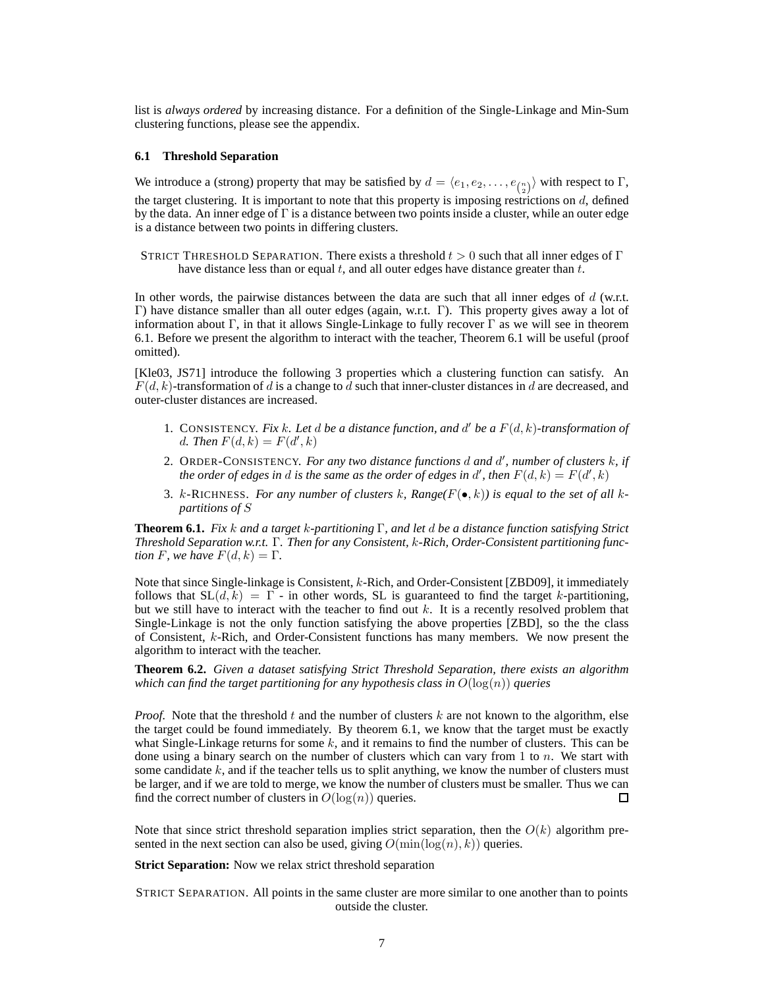list is *always ordered* by increasing distance. For a definition of the Single-Linkage and Min-Sum clustering functions, please see the appendix.

### **6.1 Threshold Separation**

We introduce a (strong) property that may be satisfied by  $d = \langle e_1, e_2, \dots, e_{\binom{n}{2}} \rangle$  with respect to  $\Gamma$ , the target clustering. It is important to note that this property is imposing restrictions on  $d$ , defined by the data. An inner edge of  $\Gamma$  is a distance between two points inside a cluster, while an outer edge is a distance between two points in differing clusters.

STRICT THRESHOLD SEPARATION. There exists a threshold  $t > 0$  such that all inner edges of Γ have distance less than or equal  $t$ , and all outer edges have distance greater than  $t$ .

In other words, the pairwise distances between the data are such that all inner edges of d (w.r.t. Γ) have distance smaller than all outer edges (again, w.r.t. Γ). This property gives away a lot of information about Γ, in that it allows Single-Linkage to fully recover Γ as we will see in theorem 6.1. Before we present the algorithm to interact with the teacher, Theorem 6.1 will be useful (proof omitted).

[Kle03, JS71] introduce the following 3 properties which a clustering function can satisfy. An  $F(d, k)$ -transformation of d is a change to d such that inner-cluster distances in d are decreased, and outer-cluster distances are increased.

- 1. CONSISTENCY. Fix k. Let d be a distance function, and  $d'$  be a  $F(d, k)$ -transformation of d. Then  $F(d, k) = F(d', k)$
- 2. ORDER-CONSISTENCY. *For any two distance functions* d *and* d 0 *, number of clusters* k*, if the order of edges in*  $d$  *is the same as the order of edges in*  $d'$ *, then*  $F(d, k) = F(d', k)$
- 3. k-RICHNESS. For any number of clusters k, Range( $F(\bullet, k)$ ) is equal to the set of all k*partitions of* S

**Theorem 6.1.** *Fix* k *and a target* k*-partitioning* Γ*, and let* d *be a distance function satisfying Strict Threshold Separation w.r.t.* Γ*. Then for any Consistent,* k*-Rich, Order-Consistent partitioning function* F, we have  $F(d, k) = \Gamma$ .

Note that since Single-linkage is Consistent, k-Rich, and Order-Consistent [ZBD09], it immediately follows that  $SL(d, k) = \Gamma$  - in other words, SL is guaranteed to find the target k-partitioning, but we still have to interact with the teacher to find out k. It is a recently resolved problem that Single-Linkage is not the only function satisfying the above properties [ZBD], so the the class of Consistent, k-Rich, and Order-Consistent functions has many members. We now present the algorithm to interact with the teacher.

**Theorem 6.2.** *Given a dataset satisfying Strict Threshold Separation, there exists an algorithm which can find the target partitioning for any hypothesis class in*  $O(\log(n))$  *queries* 

*Proof.* Note that the threshold t and the number of clusters  $k$  are not known to the algorithm, else the target could be found immediately. By theorem 6.1, we know that the target must be exactly what Single-Linkage returns for some  $k$ , and it remains to find the number of clusters. This can be done using a binary search on the number of clusters which can vary from 1 to n. We start with some candidate  $k$ , and if the teacher tells us to split anything, we know the number of clusters must be larger, and if we are told to merge, we know the number of clusters must be smaller. Thus we can find the correct number of clusters in  $O(\log(n))$  queries.  $\Box$ 

Note that since strict threshold separation implies strict separation, then the  $O(k)$  algorithm presented in the next section can also be used, giving  $O(\min(\log(n), k))$  queries.

**Strict Separation:** Now we relax strict threshold separation

STRICT SEPARATION. All points in the same cluster are more similar to one another than to points outside the cluster.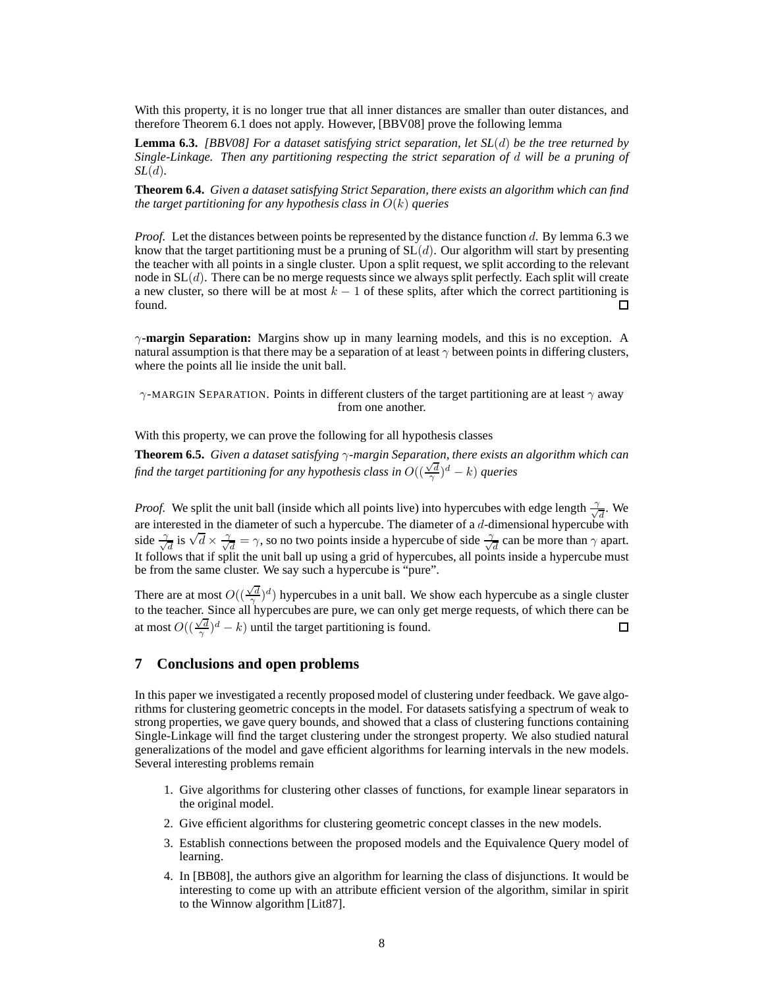With this property, it is no longer true that all inner distances are smaller than outer distances, and therefore Theorem 6.1 does not apply. However, [BBV08] prove the following lemma

**Lemma 6.3.** *[BBV08] For a dataset satisfying strict separation, let SL*(d) *be the tree returned by Single-Linkage. Then any partitioning respecting the strict separation of* d *will be a pruning of SL*(d)*.*

**Theorem 6.4.** *Given a dataset satisfying Strict Separation, there exists an algorithm which can find the target partitioning for any hypothesis class in* O(k) *queries*

*Proof.* Let the distances between points be represented by the distance function d. By lemma 6.3 we know that the target partitioning must be a pruning of  $SL(d)$ . Our algorithm will start by presenting the teacher with all points in a single cluster. Upon a split request, we split according to the relevant node in  $SL(d)$ . There can be no merge requests since we always split perfectly. Each split will create a new cluster, so there will be at most  $k - 1$  of these splits, after which the correct partitioning is found. found.

γ**-margin Separation:** Margins show up in many learning models, and this is no exception. A natural assumption is that there may be a separation of at least  $\gamma$  between points in differing clusters, where the points all lie inside the unit ball.

 $\gamma$ -MARGIN SEPARATION. Points in different clusters of the target partitioning are at least  $\gamma$  away from one another.

With this property, we can prove the following for all hypothesis classes

**Theorem 6.5.** *Given a dataset satisfying* γ*-margin Separation, there exists an algorithm which can find the target partitioning for any hypothesis class in*  $O((\frac{\sqrt{d}}{\gamma})^d - k)$  *queries* 

*Proof.* We split the unit ball (inside which all points live) into hypercubes with edge length  $\frac{1}{\sqrt{2}}$  $\frac{1}{d}$ . We are interested in the diameter of such a hypercube. The diameter of a  $d$ -dimensional hypercube with side  $\frac{\gamma}{\gamma}$  $\frac{d}{d}$  is  $\sqrt{d} \times \frac{1}{\sqrt{2}}$  $\frac{d}{d} = \gamma$ , so no two points inside a hypercube of side  $\frac{\gamma}{\sqrt{d}}$  $\frac{1}{d}$  can be more than  $\gamma$  apart. It follows that if split the unit ball up using a grid of hypercubes, all points inside a hypercube must be from the same cluster. We say such a hypercube is "pure".

There are at most  $O((\frac{\sqrt{d}}{2})^d)$  hypercubes in a unit ball. We show each hypercube as a single cluster to the teacher. Since all hypercubes are pure, we can only get merge requests, of which there can be to the teacher. Since all hypercubes are pure, we can only get merge requests, of which there can be at most  $O((\frac{\sqrt{d}}{\gamma})^d - k)$  until the target partitioning is found. □

## **7 Conclusions and open problems**

In this paper we investigated a recently proposed model of clustering under feedback. We gave algorithms for clustering geometric concepts in the model. For datasets satisfying a spectrum of weak to strong properties, we gave query bounds, and showed that a class of clustering functions containing Single-Linkage will find the target clustering under the strongest property. We also studied natural generalizations of the model and gave efficient algorithms for learning intervals in the new models. Several interesting problems remain

- 1. Give algorithms for clustering other classes of functions, for example linear separators in the original model.
- 2. Give efficient algorithms for clustering geometric concept classes in the new models.
- 3. Establish connections between the proposed models and the Equivalence Query model of learning.
- 4. In [BB08], the authors give an algorithm for learning the class of disjunctions. It would be interesting to come up with an attribute efficient version of the algorithm, similar in spirit to the Winnow algorithm [Lit87].